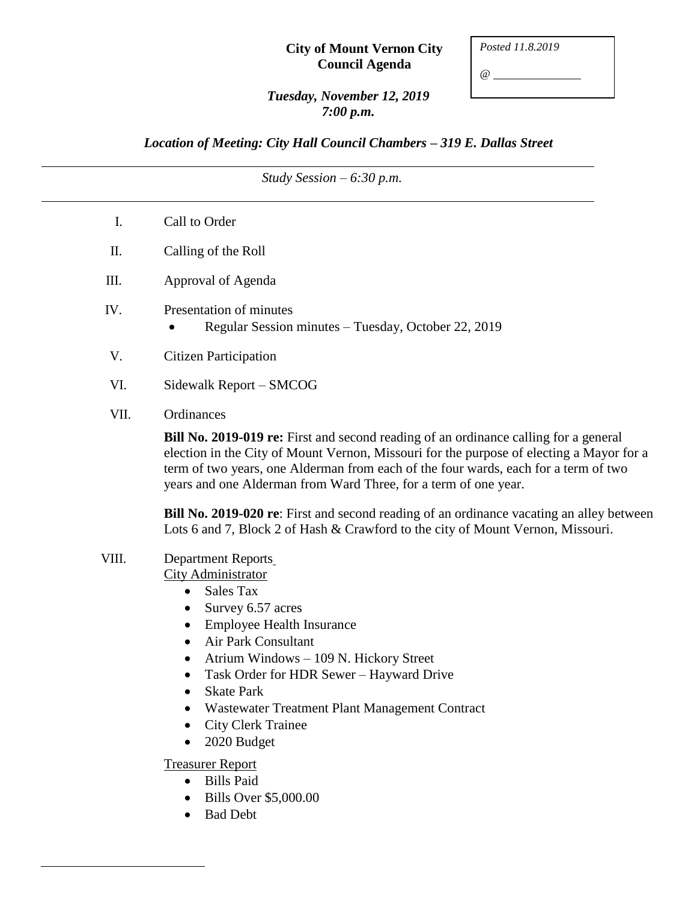#### **City of Mount Vernon City Council Agenda**

*Posted 11.8.2019*

*@*

### *Tuesday, November 12, 2019 7:00 p.m.*

*Location of Meeting: City Hall Council Chambers – 319 E. Dallas Street*

*Study Session – 6:30 p.m.*

- I. Call to Order
- II. Calling of the Roll
- III. Approval of Agenda
- IV. Presentation of minutes
	- Regular Session minutes Tuesday, October 22, 2019
- V. Citizen Participation
- VI. Sidewalk Report SMCOG
- VII. Ordinances

**Bill No. 2019-019 re:** First and second reading of an ordinance calling for a general election in the City of Mount Vernon, Missouri for the purpose of electing a Mayor for a term of two years, one Alderman from each of the four wards, each for a term of two years and one Alderman from Ward Three, for a term of one year.

**Bill No. 2019-020 re**: First and second reading of an ordinance vacating an alley between Lots 6 and 7, Block 2 of Hash & Crawford to the city of Mount Vernon, Missouri.

VIII. Department Reports

City Administrator

- Sales Tax
- Survey 6.57 acres
- Employee Health Insurance
- Air Park Consultant
- Atrium Windows 109 N. Hickory Street
- Task Order for HDR Sewer Hayward Drive
- Skate Park
- Wastewater Treatment Plant Management Contract
- City Clerk Trainee
- 2020 Budget

Treasurer Report

- Bills Paid
- Bills Over \$5,000.00
- Bad Debt